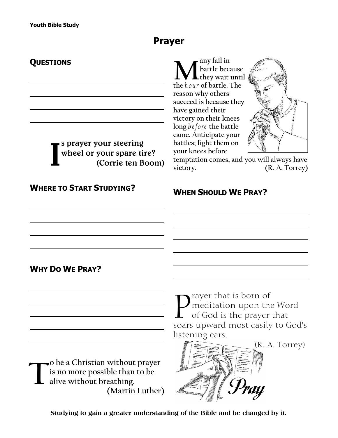## **Prayer**

## **QUESTIONS**

**I**

 $\sum_{\text{the hour of battle because}}$ **any fail in battle because they wait until reason why others succeed is because they have gained their victory on their knees long** *b efore* **the battle came. Anticipate your battles; fight them on your knees before**



**temptation comes, and you will always have victory. (R. A. Torrey)**

## **WHERE TO START STUDYING?**

**s prayer your steering wheel or your spare tire?** 

**(Corrie ten Boom)**

**WHEN SHOULD WE PRAY?**

## **WHY DO WE PRAY?**

**T o be a Christian without prayer is no more possible than to be alive without breathing. (Martin Luther)** **P** rayer that is born of<br>
of God is the prayer that<br>
soars upward most easily to God's rayer that is born of meditation upon the Word of God is the prayer that listening ears.



**Studying to gain a greater understanding of the Bible and be changed by it.**